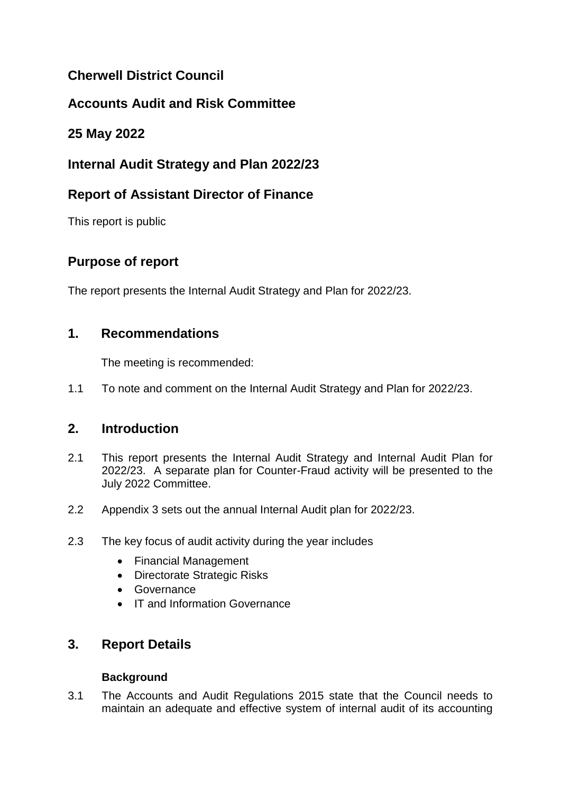# **Cherwell District Council**

# **Accounts Audit and Risk Committee**

## **25 May 2022**

# **Internal Audit Strategy and Plan 2022/23**

## **Report of Assistant Director of Finance**

This report is public

# **Purpose of report**

The report presents the Internal Audit Strategy and Plan for 2022/23.

## **1. Recommendations**

The meeting is recommended:

1.1 To note and comment on the Internal Audit Strategy and Plan for 2022/23.

### **2. Introduction**

- 2.1 This report presents the Internal Audit Strategy and Internal Audit Plan for 2022/23. A separate plan for Counter-Fraud activity will be presented to the July 2022 Committee.
- 2.2 Appendix 3 sets out the annual Internal Audit plan for 2022/23.
- 2.3 The key focus of audit activity during the year includes
	- Financial Management
	- Directorate Strategic Risks
	- **•** Governance
	- IT and Information Governance

## **3. Report Details**

### **Background**

3.1 The Accounts and Audit Regulations 2015 state that the Council needs to maintain an adequate and effective system of internal audit of its accounting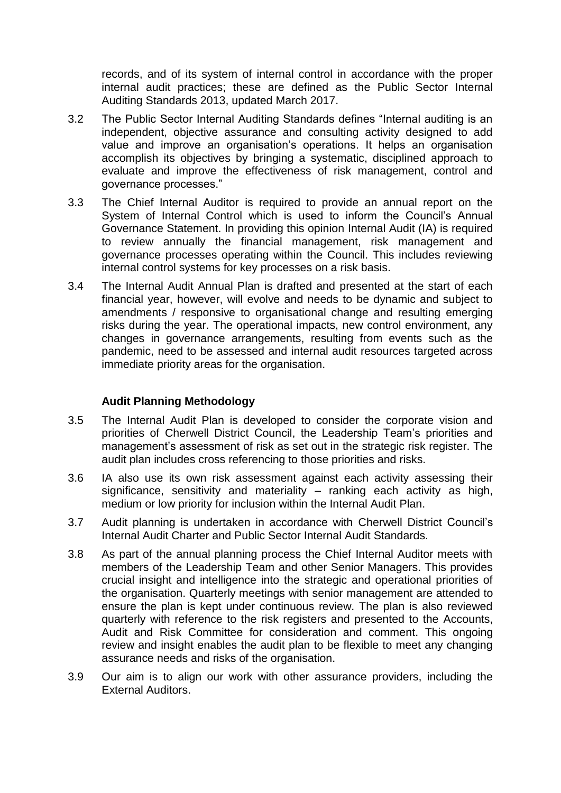records, and of its system of internal control in accordance with the proper internal audit practices; these are defined as the Public Sector Internal Auditing Standards 2013, updated March 2017.

- 3.2 The Public Sector Internal Auditing Standards defines "Internal auditing is an independent, objective assurance and consulting activity designed to add value and improve an organisation's operations. It helps an organisation accomplish its objectives by bringing a systematic, disciplined approach to evaluate and improve the effectiveness of risk management, control and governance processes."
- 3.3 The Chief Internal Auditor is required to provide an annual report on the System of Internal Control which is used to inform the Council's Annual Governance Statement. In providing this opinion Internal Audit (IA) is required to review annually the financial management, risk management and governance processes operating within the Council. This includes reviewing internal control systems for key processes on a risk basis.
- 3.4 The Internal Audit Annual Plan is drafted and presented at the start of each financial year, however, will evolve and needs to be dynamic and subject to amendments / responsive to organisational change and resulting emerging risks during the year. The operational impacts, new control environment, any changes in governance arrangements, resulting from events such as the pandemic, need to be assessed and internal audit resources targeted across immediate priority areas for the organisation.

#### **Audit Planning Methodology**

- 3.5 The Internal Audit Plan is developed to consider the corporate vision and priorities of Cherwell District Council, the Leadership Team's priorities and management's assessment of risk as set out in the strategic risk register. The audit plan includes cross referencing to those priorities and risks.
- 3.6 IA also use its own risk assessment against each activity assessing their significance, sensitivity and materiality – ranking each activity as high, medium or low priority for inclusion within the Internal Audit Plan.
- 3.7 Audit planning is undertaken in accordance with Cherwell District Council's Internal Audit Charter and Public Sector Internal Audit Standards.
- 3.8 As part of the annual planning process the Chief Internal Auditor meets with members of the Leadership Team and other Senior Managers. This provides crucial insight and intelligence into the strategic and operational priorities of the organisation. Quarterly meetings with senior management are attended to ensure the plan is kept under continuous review. The plan is also reviewed quarterly with reference to the risk registers and presented to the Accounts, Audit and Risk Committee for consideration and comment. This ongoing review and insight enables the audit plan to be flexible to meet any changing assurance needs and risks of the organisation.
- 3.9 Our aim is to align our work with other assurance providers, including the External Auditors.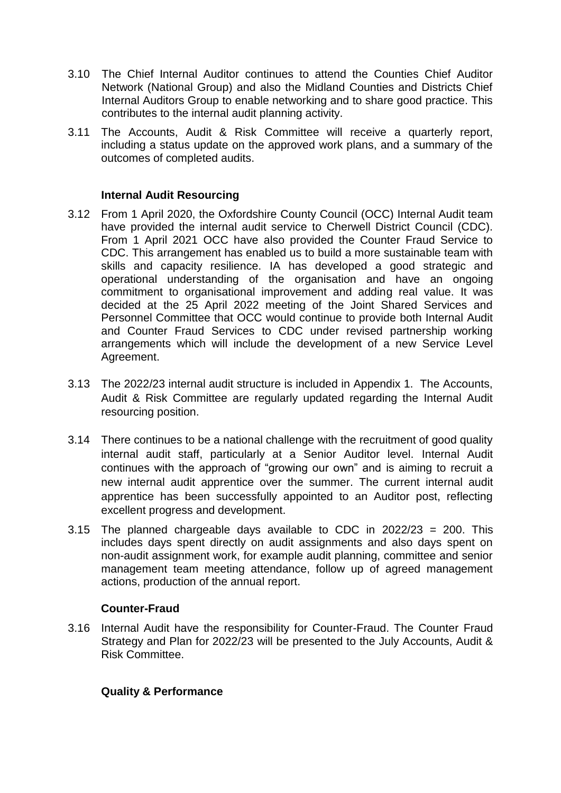- 3.10 The Chief Internal Auditor continues to attend the Counties Chief Auditor Network (National Group) and also the Midland Counties and Districts Chief Internal Auditors Group to enable networking and to share good practice. This contributes to the internal audit planning activity.
- 3.11 The Accounts, Audit & Risk Committee will receive a quarterly report, including a status update on the approved work plans, and a summary of the outcomes of completed audits.

#### **Internal Audit Resourcing**

- 3.12 From 1 April 2020, the Oxfordshire County Council (OCC) Internal Audit team have provided the internal audit service to Cherwell District Council (CDC). From 1 April 2021 OCC have also provided the Counter Fraud Service to CDC. This arrangement has enabled us to build a more sustainable team with skills and capacity resilience. IA has developed a good strategic and operational understanding of the organisation and have an ongoing commitment to organisational improvement and adding real value. It was decided at the 25 April 2022 meeting of the Joint Shared Services and Personnel Committee that OCC would continue to provide both Internal Audit and Counter Fraud Services to CDC under revised partnership working arrangements which will include the development of a new Service Level Agreement.
- 3.13 The 2022/23 internal audit structure is included in Appendix 1. The Accounts, Audit & Risk Committee are regularly updated regarding the Internal Audit resourcing position.
- 3.14 There continues to be a national challenge with the recruitment of good quality internal audit staff, particularly at a Senior Auditor level. Internal Audit continues with the approach of "growing our own" and is aiming to recruit a new internal audit apprentice over the summer. The current internal audit apprentice has been successfully appointed to an Auditor post, reflecting excellent progress and development.
- 3.15 The planned chargeable days available to CDC in 2022/23 = 200. This includes days spent directly on audit assignments and also days spent on non-audit assignment work, for example audit planning, committee and senior management team meeting attendance, follow up of agreed management actions, production of the annual report.

#### **Counter-Fraud**

3.16 Internal Audit have the responsibility for Counter-Fraud. The Counter Fraud Strategy and Plan for 2022/23 will be presented to the July Accounts, Audit & Risk Committee.

#### **Quality & Performance**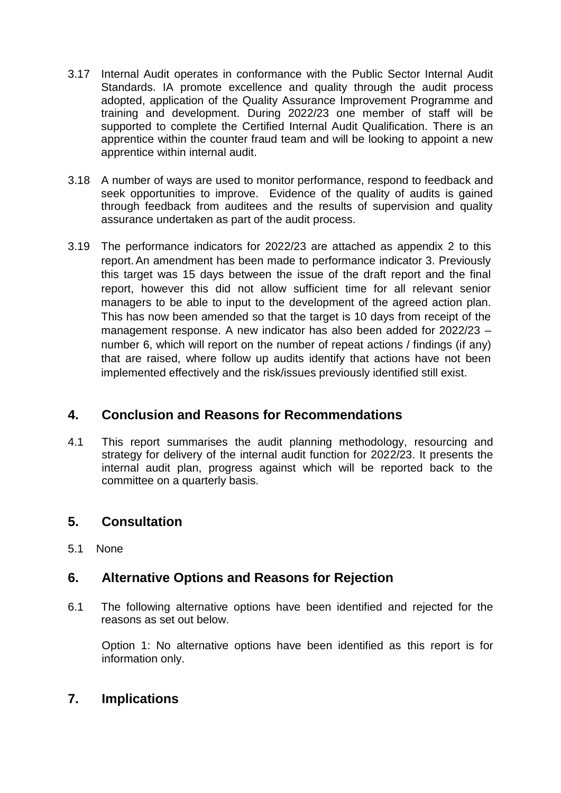- 3.17 Internal Audit operates in conformance with the Public Sector Internal Audit Standards. IA promote excellence and quality through the audit process adopted, application of the Quality Assurance Improvement Programme and training and development. During 2022/23 one member of staff will be supported to complete the Certified Internal Audit Qualification. There is an apprentice within the counter fraud team and will be looking to appoint a new apprentice within internal audit.
- 3.18 A number of ways are used to monitor performance, respond to feedback and seek opportunities to improve. Evidence of the quality of audits is gained through feedback from auditees and the results of supervision and quality assurance undertaken as part of the audit process.
- 3.19 The performance indicators for 2022/23 are attached as appendix 2 to this report.An amendment has been made to performance indicator 3. Previously this target was 15 days between the issue of the draft report and the final report, however this did not allow sufficient time for all relevant senior managers to be able to input to the development of the agreed action plan. This has now been amended so that the target is 10 days from receipt of the management response. A new indicator has also been added for 2022/23 – number 6, which will report on the number of repeat actions / findings (if any) that are raised, where follow up audits identify that actions have not been implemented effectively and the risk/issues previously identified still exist.

### **4. Conclusion and Reasons for Recommendations**

4.1 This report summarises the audit planning methodology, resourcing and strategy for delivery of the internal audit function for 2022/23. It presents the internal audit plan, progress against which will be reported back to the committee on a quarterly basis.

## **5. Consultation**

5.1 None

## **6. Alternative Options and Reasons for Rejection**

6.1 The following alternative options have been identified and rejected for the reasons as set out below.

Option 1: No alternative options have been identified as this report is for information only.

### **7. Implications**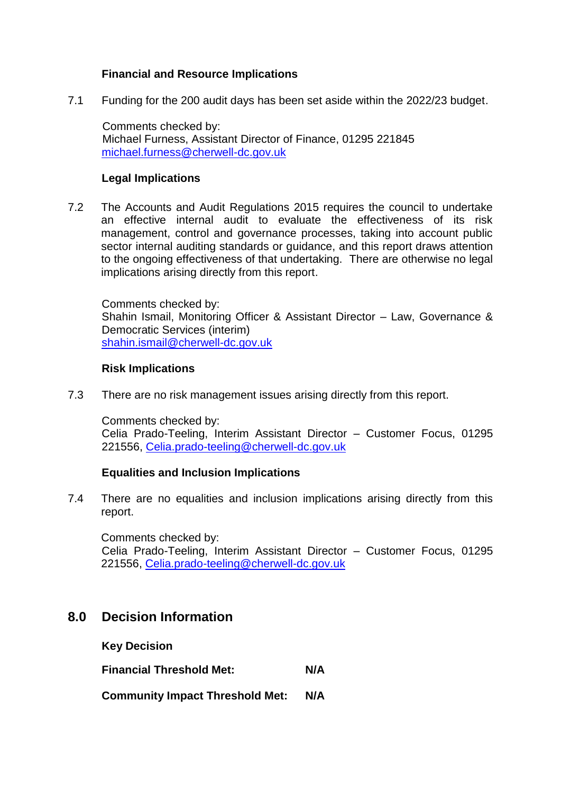#### **Financial and Resource Implications**

7.1 Funding for the 200 audit days has been set aside within the 2022/23 budget.

Comments checked by: Michael Furness, Assistant Director of Finance, 01295 221845 [michael.furness@cherwell-dc.gov.uk](mailto:michael.furness@cherwell-dc.gov.uk)

#### **Legal Implications**

7.2 The Accounts and Audit Regulations 2015 requires the council to undertake an effective internal audit to evaluate the effectiveness of its risk management, control and governance processes, taking into account public sector internal auditing standards or guidance, and this report draws attention to the ongoing effectiveness of that undertaking. There are otherwise no legal implications arising directly from this report.

Comments checked by: Shahin Ismail, Monitoring Officer & Assistant Director – Law, Governance & Democratic Services (interim) [shahin.ismail@cherwell-dc.gov.uk](mailto:shahin.ismail@cherwell-dc.gov.uk)

#### **Risk Implications**

7.3 There are no risk management issues arising directly from this report.

Comments checked by:

Celia Prado-Teeling, Interim Assistant Director – Customer Focus, 01295 221556, [Celia.prado-teeling@cherwell-dc.gov.uk](mailto:Celia.prado-teeling@cherwell-dc.gov.uk)

### **Equalities and Inclusion Implications**

7.4 There are no equalities and inclusion implications arising directly from this report.

Comments checked by:

Celia Prado-Teeling, Interim Assistant Director – Customer Focus, 01295 221556, [Celia.prado-teeling@cherwell-dc.gov.uk](mailto:Celia.prado-teeling@cherwell-dc.gov.uk) 

### **8.0 Decision Information**

**Key Decision** 

**Financial Threshold Met: N/A** 

**Community Impact Threshold Met: N/A**